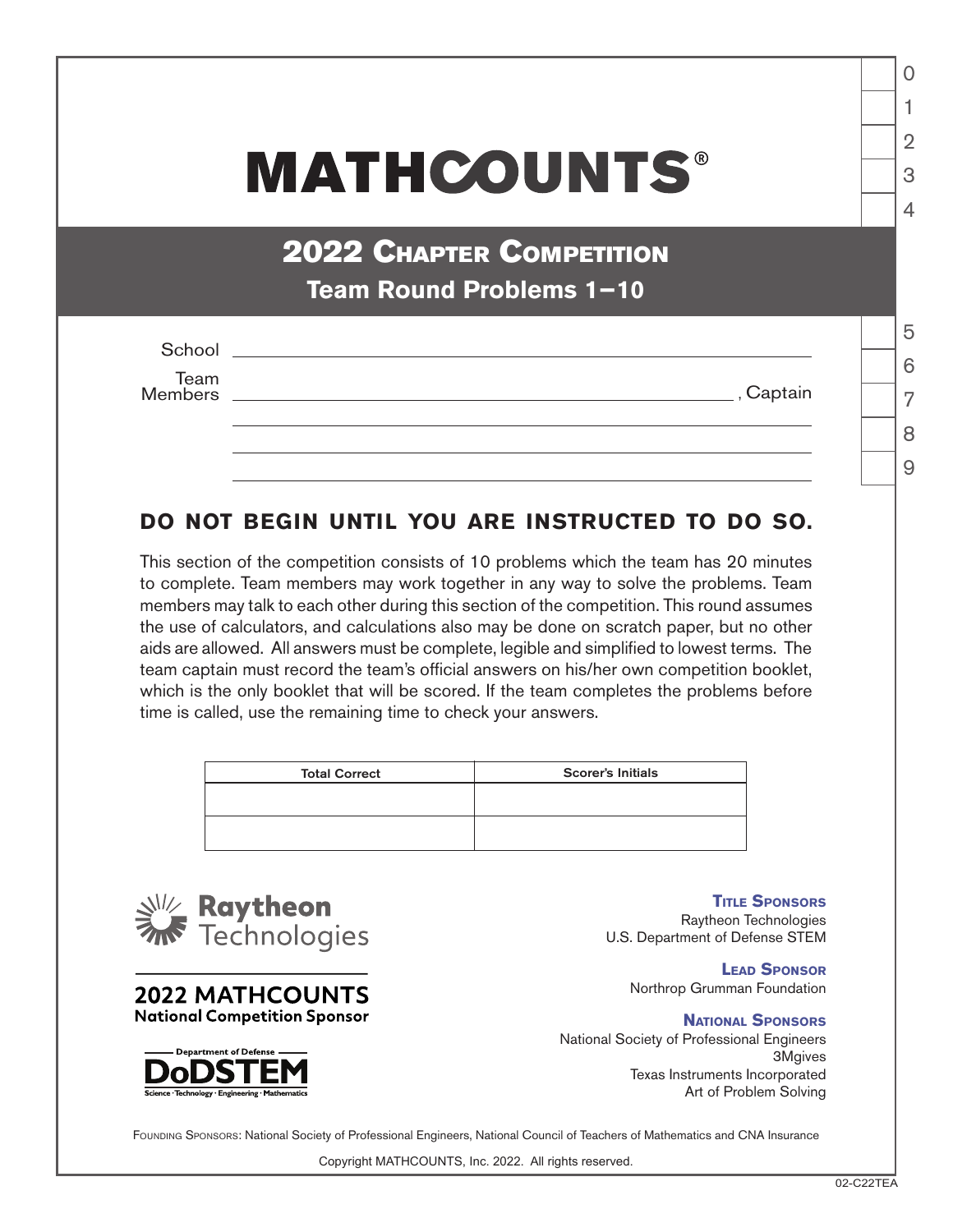## **MATHCOUNTS®**

2022 Chapter Competition **Team Round Problems 1−10**

| School          |           |  |
|-----------------|-----------|--|
|                 |           |  |
| Team<br>Members |           |  |
|                 | , Captain |  |
|                 |           |  |
|                 |           |  |
|                 |           |  |

## **DO NOT BEGIN UNTIL YOU ARE INSTRUCTED TO DO SO.**

This section of the competition consists of 10 problems which the team has 20 minutes to complete. Team members may work together in any way to solve the problems. Team members may talk to each other during this section of the competition. This round assumes the use of calculators, and calculations also may be done on scratch paper, but no other aids are allowed. All answers must be complete, legible and simplified to lowest terms. The team captain must record the team's official answers on his/her own competition booklet, which is the only booklet that will be scored. If the team completes the problems before time is called, use the remaining time to check your answers.

| <b>Total Correct</b> | <b>Scorer's Initials</b> |
|----------------------|--------------------------|
|                      |                          |
|                      |                          |
|                      |                          |



**2022 MATHCOUNTS National Competition Sponsor** 

**Title Sponsors** Raytheon Technologies U.S. Department of Defense STEM

**Lead Sponsor** Northrop Grumman Foundation

**National Sponsors** National Society of Professional Engineers 3Mgives Texas Instruments Incorporated Art of Problem Solving



FOUNDING SPONSORS: National Society of Professional Engineers, National Council of Teachers of Mathematics and CNA Insurance

Copyright MATHCOUNTS, Inc. 2022. All rights reserved.

1

 $\Omega$ 

2

3

 $\Delta$ 

5

6

7

8  $\overline{Q}$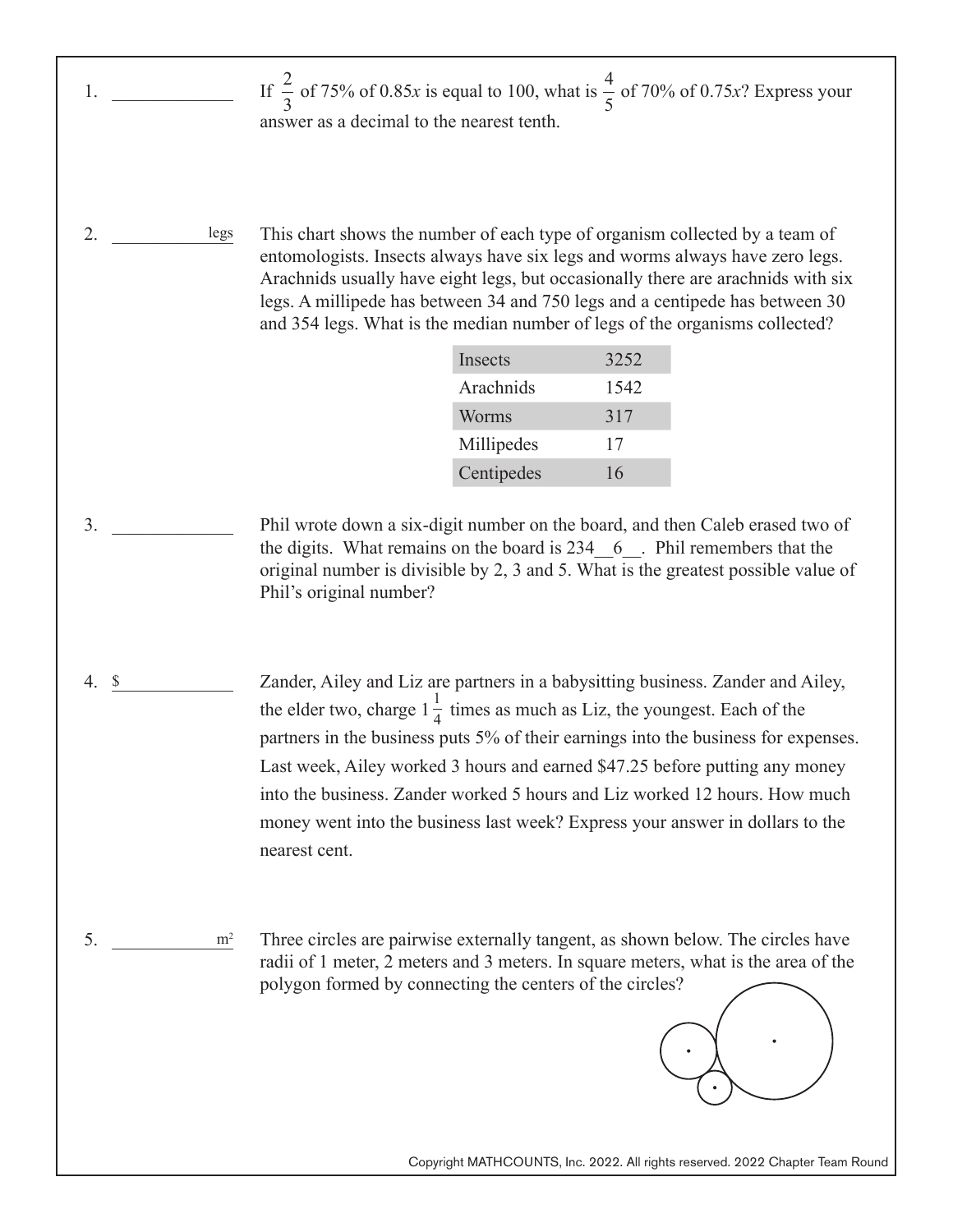- If  $\frac{2}{5}$  of 75% of 0.85*x* is equal to 100, what is  $\frac{1}{5}$  of 70% of 0.75*x*? Express your answer as a decimal to the nearest tenth. 2 3 4 5
- 2. \_\_\_\_\_\_\_\_\_\_\_\_\_ legs This chart shows the number of each type of organism collected by a team of entomologists. Insects always have six legs and worms always have zero legs. Arachnids usually have eight legs, but occasionally there are arachnids with six legs. A millipede has between 34 and 750 legs and a centipede has between 30 and 354 legs. What is the median number of legs of the organisms collected?

 $1.$   $\frac{1}{2}$   $\frac{1}{2}$   $\frac{1}{2}$   $\frac{1}{2}$   $\frac{1}{2}$   $\frac{1}{2}$   $\frac{1}{2}$   $\frac{1}{2}$   $\frac{1}{2}$   $\frac{1}{2}$   $\frac{1}{2}$   $\frac{1}{2}$   $\frac{1}{2}$   $\frac{1}{2}$   $\frac{1}{2}$   $\frac{1}{2}$   $\frac{1}{2}$   $\frac{1}{2}$   $\frac{1}{2}$   $\frac{1}{2}$   $\frac{1}{2}$   $\frac{1}{$ 

| Insects    | 3252 |
|------------|------|
| Arachnids  | 1542 |
| Worms      | 317  |
| Millipedes | 17   |
| Centipedes | 16   |

- $3.$ Phil wrote down a six-digit number on the board, and then Caleb erased two of the digits. What remains on the board is 234 \ 6 \ . Phil remembers that the original number is divisible by 2, 3 and 5. What is the greatest possible value of Phil's original number?
- 4.  $\frac{\ }{2}$ Zander, Ailey and Liz are partners in a babysitting business. Zander and Ailey, the elder two, charge  $1\frac{1}{4}$  times as much as Liz, the youngest. Each of the partners in the business puts 5% of their earnings into the business for expenses. Last week, Ailey worked 3 hours and earned \$47.25 before putting any money into the business. Zander worked 5 hours and Liz worked 12 hours. How much money went into the business last week? Express your answer in dollars to the nearest cent.
- 5.  $m^2$ Three circles are pairwise externally tangent, as shown below. The circles have radii of 1 meter, 2 meters and 3 meters. In square meters, what is the area of the polygon formed by connecting the centers of the circles?  $m<sup>2</sup>$



Copyright MATHCOUNTS, Inc. 2022. All rights reserved. 2022 Chapter Team Round